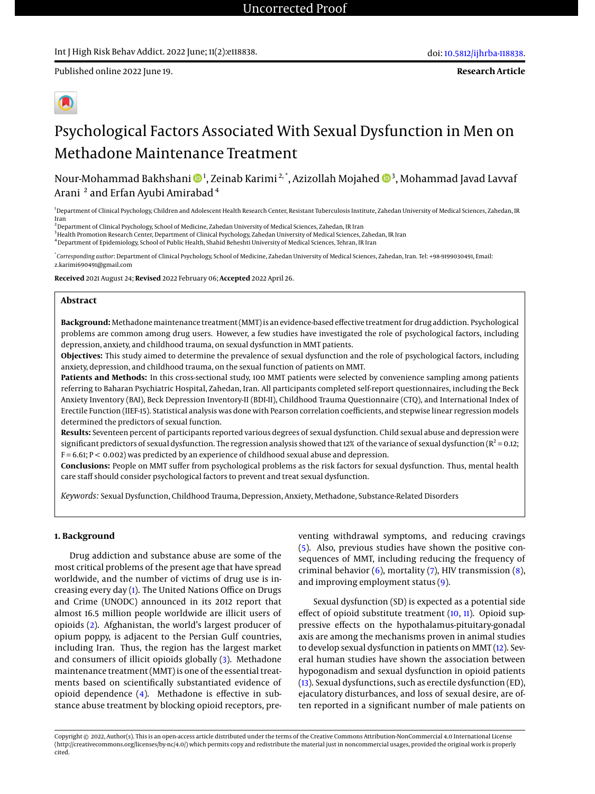**Research Article**



# Psychological Factors Associated With Sexual Dysfunction in Men on Methadone Maintenance Treatment

Nour-Mohammad Bakhshani ��1, Zeinab Karimi $^{\text{2, *}},$  Azizollah Mojahed ��3, Mohammad Javad Lavvai Arani  $^{\text{2}}$  and Erfan Ayubi Amirabad  $^{\text{4}}$ 

<sup>1</sup>Department of Clinical Psychology, Children and Adolescent Health Research Center, Resistant Tuberculosis Institute, Zahedan University of Medical Sciences, Zahedan, IR Iran

<sup>2</sup> Department of Clinical Psychology, School of Medicine, Zahedan University of Medical Sciences, Zahedan, IR Iran

<sup>3</sup> Health Promotion Research Center, Department of Clinical Psychology, Zahedan University of Medical Sciences, Zahedan, IR Iran

<sup>4</sup>Department of Epidemiology, School of Public Health, Shahid Beheshti University of Medical Sciences, Tehran, IR Iran

\* *Corresponding author*: Department of Clinical Psychology, School of Medicine, Zahedan University of Medical Sciences, Zahedan, Iran. Tel: +98-9199030491, Email: z.karimi690491@gmail.com

**Received** 2021 August 24; **Revised** 2022 February 06; **Accepted** 2022 April 26.

# **Abstract**

**Background:** Methadonemaintenance treatment (MMT) is an evidence-based effective treatment for drug addiction. Psychological problems are common among drug users. However, a few studies have investigated the role of psychological factors, including depression, anxiety, and childhood trauma, on sexual dysfunction in MMT patients.

**Objectives:** This study aimed to determine the prevalence of sexual dysfunction and the role of psychological factors, including anxiety, depression, and childhood trauma, on the sexual function of patients on MMT.

**Patients and Methods:** In this cross-sectional study, 100 MMT patients were selected by convenience sampling among patients referring to Baharan Psychiatric Hospital, Zahedan, Iran. All participants completed self-report questionnaires, including the Beck Anxiety Inventory (BAI), Beck Depression Inventory-II (BDI-II), Childhood Trauma Questionnaire (CTQ), and International Index of Erectile Function (IIEF-15). Statistical analysis was done with Pearson correlation coefficients, and stepwise linear regression models determined the predictors of sexual function.

**Results:** Seventeen percent of participants reported various degrees of sexual dysfunction. Child sexual abuse and depression were significant predictors of sexual dysfunction. The regression analysis showed that 12% of the variance of sexual dysfunction ( $R^2$  = 0.12; F = 6.61; P < 0.002) was predicted by an experience of childhood sexual abuse and depression.

**Conclusions:** People on MMT suffer from psychological problems as the risk factors for sexual dysfunction. Thus, mental health care staff should consider psychological factors to prevent and treat sexual dysfunction.

*Keywords:* Sexual Dysfunction, Childhood Trauma, Depression, Anxiety, Methadone, Substance-Related Disorders

## **1. Background**

Drug addiction and substance abuse are some of the most critical problems of the present age that have spread worldwide, and the number of victims of drug use is increasing every day [\(1\)](#page-4-0). The United Nations Office on Drugs and Crime (UNODC) announced in its 2012 report that almost 16.5 million people worldwide are illicit users of opioids [\(2\)](#page-4-1). Afghanistan, the world's largest producer of opium poppy, is adjacent to the Persian Gulf countries, including Iran. Thus, the region has the largest market and consumers of illicit opioids globally [\(3\)](#page-4-2). Methadone maintenance treatment (MMT) is one of the essential treatments based on scientifically substantiated evidence of opioid dependence [\(4\)](#page-4-3). Methadone is effective in substance abuse treatment by blocking opioid receptors, preventing withdrawal symptoms, and reducing cravings [\(5\)](#page-4-4). Also, previous studies have shown the positive consequences of MMT, including reducing the frequency of criminal behavior  $(6)$ , mortality  $(7)$ , HIV transmission  $(8)$ , and improving employment status [\(9\)](#page-4-8).

Sexual dysfunction (SD) is expected as a potential side effect of opioid substitute treatment [\(10,](#page-4-9) [11\)](#page-4-10). Opioid suppressive effects on the hypothalamus-pituitary-gonadal axis are among the mechanisms proven in animal studies to develop sexual dysfunction in patients on MMT [\(12\)](#page-4-11). Several human studies have shown the association between hypogonadism and sexual dysfunction in opioid patients [\(13\)](#page-4-12). Sexual dysfunctions, such as erectile dysfunction (ED), ejaculatory disturbances, and loss of sexual desire, are often reported in a significant number of male patients on

Copyright © 2022, Author(s). This is an open-access article distributed under the terms of the Creative Commons Attribution-NonCommercial 4.0 International License (http://creativecommons.org/licenses/by-nc/4.0/) which permits copy and redistribute the material just in noncommercial usages, provided the original work is properly cited.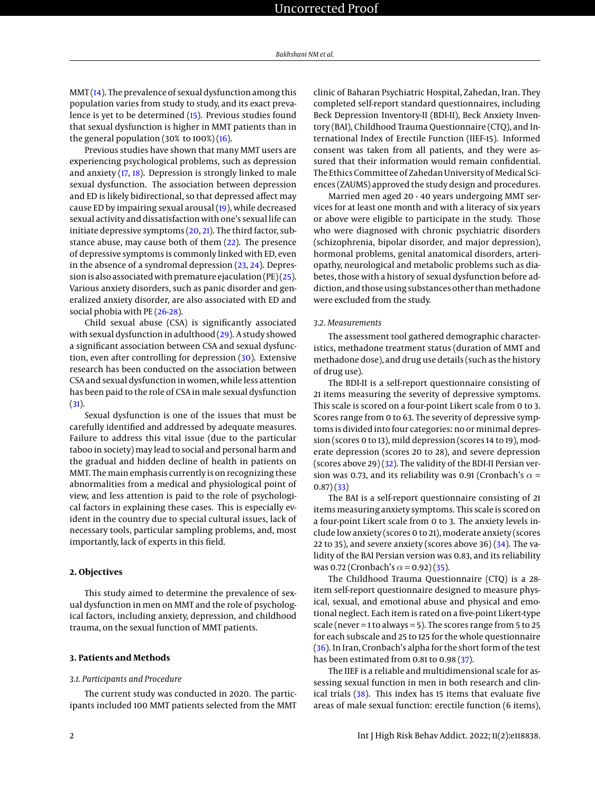$MMT(14)$  $MMT(14)$ . The prevalence of sexual dysfunction among this population varies from study to study, and its exact prevalence is yet to be determined [\(15\)](#page-4-14). Previous studies found that sexual dysfunction is higher in MMT patients than in the general population  $(30\% \text{ to } 100\%)$   $(16)$ .

Previous studies have shown that many MMT users are experiencing psychological problems, such as depression and anxiety [\(17,](#page-4-16) [18\)](#page-5-0). Depression is strongly linked to male sexual dysfunction. The association between depression and ED is likely bidirectional, so that depressed affect may cause ED by impairing sexual arousal [\(19\)](#page-5-1), while decreased sexual activity and dissatisfaction with one's sexual life can initiate depressive symptoms  $(20, 21)$  $(20, 21)$  $(20, 21)$ . The third factor, substance abuse, may cause both of them [\(22\)](#page-5-4). The presence of depressive symptoms is commonly linked with ED, even in the absence of a syndromal depression [\(23,](#page-5-5) [24\)](#page-5-6). Depression is also associated with premature ejaculation (PE) $(25)$ . Various anxiety disorders, such as panic disorder and generalized anxiety disorder, are also associated with ED and social phobia with PE [\(26](#page-5-8)[-28\)](#page-5-9).

Child sexual abuse (CSA) is significantly associated with sexual dysfunction in adulthood [\(29\)](#page-5-10). A study showed a significant association between CSA and sexual dysfunction, even after controlling for depression [\(30\)](#page-5-11). Extensive research has been conducted on the association between CSA and sexual dysfunction in women, while less attention has been paid to the role of CSA in male sexual dysfunction [\(31\)](#page-5-12).

Sexual dysfunction is one of the issues that must be carefully identified and addressed by adequate measures. Failure to address this vital issue (due to the particular taboo in society) may lead to social and personal harm and the gradual and hidden decline of health in patients on MMT. The main emphasis currently is on recognizing these abnormalities from a medical and physiological point of view, and less attention is paid to the role of psychological factors in explaining these cases. This is especially evident in the country due to special cultural issues, lack of necessary tools, particular sampling problems, and, most importantly, lack of experts in this field.

## **2. Objectives**

This study aimed to determine the prevalence of sexual dysfunction in men on MMT and the role of psychological factors, including anxiety, depression, and childhood trauma, on the sexual function of MMT patients.

#### **3. Patients and Methods**

#### *3.1. Participants and Procedure*

The current study was conducted in 2020. The participants included 100 MMT patients selected from the MMT

clinic of Baharan Psychiatric Hospital, Zahedan, Iran. They completed self-report standard questionnaires, including Beck Depression Inventory-II (BDI-II), Beck Anxiety Inventory (BAI), Childhood Trauma Questionnaire (CTQ), and International Index of Erectile Function (IIEF-15). Informed consent was taken from all patients, and they were assured that their information would remain confidential. The Ethics Committee of Zahedan University of Medical Sciences (ZAUMS) approved the study design and procedures.

Married men aged 20 - 40 years undergoing MMT services for at least one month and with a literacy of six years or above were eligible to participate in the study. Those who were diagnosed with chronic psychiatric disorders (schizophrenia, bipolar disorder, and major depression), hormonal problems, genital anatomical disorders, arteriopathy, neurological and metabolic problems such as diabetes, those with a history of sexual dysfunction before addiction, and those using substances other than methadone were excluded from the study.

#### *3.2. Measurements*

The assessment tool gathered demographic characteristics, methadone treatment status (duration of MMT and methadone dose), and drug use details (such as the history of drug use).

The BDI-II is a self-report questionnaire consisting of 21 items measuring the severity of depressive symptoms. This scale is scored on a four-point Likert scale from 0 to 3. Scores range from 0 to 63. The severity of depressive symptoms is divided into four categories: no or minimal depression (scores 0 to 13), mild depression (scores 14 to 19), moderate depression (scores 20 to 28), and severe depression (scores above 29)  $(32)$ . The validity of the BDI-II Persian version was 0.73, and its reliability was 0.91 (Cronbach's  $\alpha$  =  $(0.87)(33)$  $(0.87)(33)$ 

The BAI is a self-report questionnaire consisting of 21 items measuring anxiety symptoms. This scale is scored on a four-point Likert scale from 0 to 3. The anxiety levels include low anxiety (scores 0 to 21), moderate anxiety (scores 22 to 35), and severe anxiety (scores above 36)  $(34)$ . The validity of the BAI Persian version was 0.83, and its reliability was 0.72 (Cronbach's  $\alpha$  = 0.92) [\(35\)](#page-5-16).

The Childhood Trauma Questionnaire (CTQ) is a 28 item self-report questionnaire designed to measure physical, sexual, and emotional abuse and physical and emotional neglect. Each item is rated on a five-point Likert-type scale (never = 1 to always = 5). The scores range from 5 to 25 for each subscale and 25 to 125 for the whole questionnaire  $(36)$ . In Iran, Cronbach's alpha for the short form of the test has been estimated from 0.81 to 0.98 [\(37\)](#page-5-18).

The IIEF is a reliable and multidimensional scale for assessing sexual function in men in both research and clinical trials [\(38\)](#page-5-19). This index has 15 items that evaluate five areas of male sexual function: erectile function (6 items),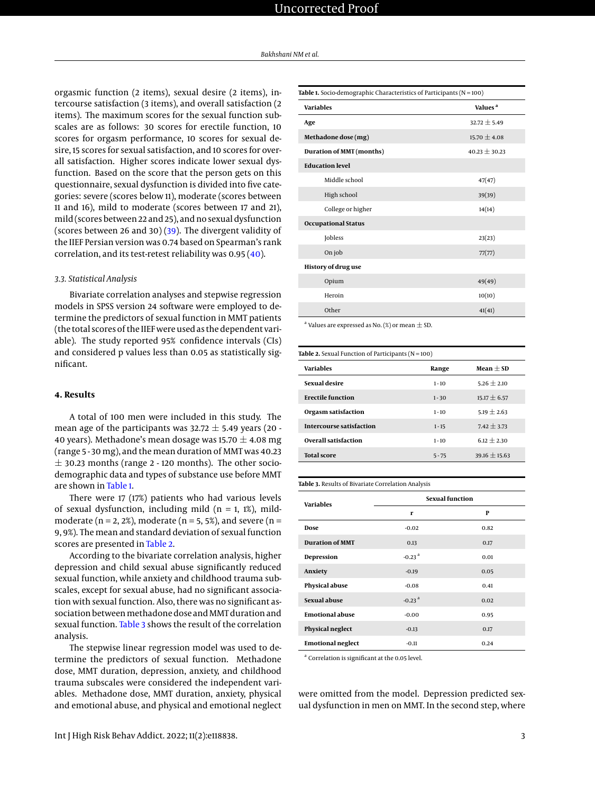orgasmic function (2 items), sexual desire (2 items), intercourse satisfaction (3 items), and overall satisfaction (2 items). The maximum scores for the sexual function subscales are as follows: 30 scores for erectile function, 10 scores for orgasm performance, 10 scores for sexual desire, 15 scores for sexual satisfaction, and 10 scores for overall satisfaction. Higher scores indicate lower sexual dysfunction. Based on the score that the person gets on this questionnaire, sexual dysfunction is divided into five categories: severe (scores below 11), moderate (scores between 11 and 16), mild to moderate (scores between 17 and 21), mild (scores between 22 and 25), and no sexual dysfunction (scores between 26 and 30) [\(39\)](#page-5-20). The divergent validity of the IIEF Persian version was 0.74 based on Spearman's rank correlation, and its test-retest reliability was 0.95 [\(40\)](#page-5-21).

# *3.3. Statistical Analysis*

Bivariate correlation analyses and stepwise regression models in SPSS version 24 software were employed to determine the predictors of sexual function in MMT patients (the total scores of the IIEF were used as the dependent variable). The study reported 95% confidence intervals (CIs) and considered p values less than 0.05 as statistically significant.

# **4. Results**

A total of 100 men were included in this study. The mean age of the participants was  $32.72 \pm 5.49$  years (20 -40 years). Methadone's mean dosage was 15.70  $\pm$  4.08 mg (range 5 - 30 mg), and the mean duration of MMT was 40.23  $\pm$  30.23 months (range 2 - 120 months). The other sociodemographic data and types of substance use before MMT are shown in [Table 1.](#page-2-0)

There were 17 (17%) patients who had various levels of sexual dysfunction, including mild ( $n = 1$ , 1%), mildmoderate ( $n = 2$ , 2%), moderate ( $n = 5$ , 5%), and severe ( $n =$ 9, 9%). The mean and standard deviation of sexual function scores are presented in [Table 2.](#page-2-1)

According to the bivariate correlation analysis, higher depression and child sexual abuse significantly reduced sexual function, while anxiety and childhood trauma subscales, except for sexual abuse, had no significant association with sexual function. Also, there was no significant association between methadone dose and MMT duration and sexual function. [Table 3](#page-2-2) shows the result of the correlation analysis.

The stepwise linear regression model was used to determine the predictors of sexual function. Methadone dose, MMT duration, depression, anxiety, and childhood trauma subscales were considered the independent variables. Methadone dose, MMT duration, anxiety, physical and emotional abuse, and physical and emotional neglect

<span id="page-2-0"></span>

| Table 1. Socio-demographic Characteristics of Participants ( $N = 100$ ) |                     |  |  |  |
|--------------------------------------------------------------------------|---------------------|--|--|--|
| <b>Variables</b>                                                         | Values <sup>a</sup> |  |  |  |
| Age                                                                      | $32.72 \pm 5.49$    |  |  |  |
| Methadone dose (mg)                                                      | $15.70 \pm 4.08$    |  |  |  |
| Duration of MMT (months)                                                 | $40.23 \pm 30.23$   |  |  |  |
| <b>Education level</b>                                                   |                     |  |  |  |
| Middle school                                                            | 47(47)              |  |  |  |
| High school                                                              | 39(39)              |  |  |  |
| College or higher                                                        | 14(14)              |  |  |  |
| <b>Occupational Status</b>                                               |                     |  |  |  |
| Jobless                                                                  | 23(23)              |  |  |  |
| On job                                                                   | 77(77)              |  |  |  |
| <b>History of drug use</b>                                               |                     |  |  |  |
| Opium                                                                    | 49(49)              |  |  |  |
| Heroin                                                                   | 10(10)              |  |  |  |
| Other                                                                    | 41(41)              |  |  |  |

 $^{\rm a}$  Values are expressed as No. (%) or mean  $\pm$  SD.

<span id="page-2-1"></span>

| <b>Table 2.</b> Sexual Function of Participants ( $N = 100$ ) |          |                 |  |  |  |
|---------------------------------------------------------------|----------|-----------------|--|--|--|
| <b>Variables</b>                                              | Range    |                 |  |  |  |
| Sexual desire                                                 | $1 - 10$ | $5.26 + 2.10$   |  |  |  |
| <b>Erectile function</b>                                      | $1 - 30$ | $15.17 + 6.57$  |  |  |  |
| Orgasm satisfaction                                           | $1 - 10$ | $5.19 + 2.63$   |  |  |  |
| <b>Intercourse satisfaction</b>                               | $1 - 15$ | $7.42 \pm 3.73$ |  |  |  |
| <b>Overall satisfaction</b>                                   | $1 - 10$ | $6.12 + 2.30$   |  |  |  |
| <b>Total score</b>                                            | $5 - 75$ | $39.16 + 15.63$ |  |  |  |

#### <span id="page-2-2"></span>**Table 3.** Results of Bivariate Correlation Analysis

| <b>Variables</b>         | <b>Sexual function</b> |      |  |
|--------------------------|------------------------|------|--|
|                          | r                      | P    |  |
| Dose                     | $-0.02$                | 0.82 |  |
| <b>Duration of MMT</b>   | 0.13                   | 0.17 |  |
| Depression               | $-0.23$ <sup>a</sup>   | 0.01 |  |
| Anxiety                  | $-0.19$                | 0.05 |  |
| <b>Physical abuse</b>    | $-0.08$                | 0.41 |  |
| Sexual abuse             | $-0.23$ <sup>a</sup>   | 0.02 |  |
| <b>Emotional abuse</b>   | $-0.00$                | 0.95 |  |
| Physical neglect         | $-0.13$                | 0.17 |  |
| <b>Emotional neglect</b> | $-0.11$                | 0.24 |  |

<sup>a</sup> Correlation is significant at the 0.05 level

were omitted from the model. Depression predicted sexual dysfunction in men on MMT. In the second step, where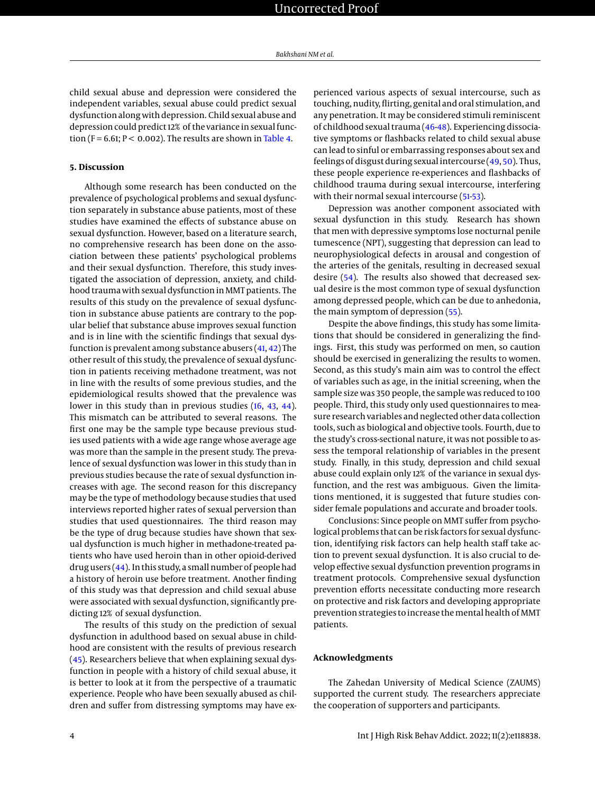child sexual abuse and depression were considered the independent variables, sexual abuse could predict sexual dysfunction along with depression. Child sexual abuse and depression could predict 12% of the variance in sexual function (F = 6.61;  $P < 0.002$ ). The results are shown in [Table 4.](#page-4-17)

## **5. Discussion**

Although some research has been conducted on the prevalence of psychological problems and sexual dysfunction separately in substance abuse patients, most of these studies have examined the effects of substance abuse on sexual dysfunction. However, based on a literature search, no comprehensive research has been done on the association between these patients' psychological problems and their sexual dysfunction. Therefore, this study investigated the association of depression, anxiety, and childhood trauma with sexual dysfunction in MMT patients. The results of this study on the prevalence of sexual dysfunction in substance abuse patients are contrary to the popular belief that substance abuse improves sexual function and is in line with the scientific findings that sexual dysfunction is prevalent among substance abusers [\(41,](#page-5-22) [42\)](#page-5-23) The other result of this study, the prevalence of sexual dysfunction in patients receiving methadone treatment, was not in line with the results of some previous studies, and the epidemiological results showed that the prevalence was lower in this study than in previous studies [\(16,](#page-4-15) [43,](#page-5-24) [44\)](#page-5-25). This mismatch can be attributed to several reasons. The first one may be the sample type because previous studies used patients with a wide age range whose average age was more than the sample in the present study. The prevalence of sexual dysfunction was lower in this study than in previous studies because the rate of sexual dysfunction increases with age. The second reason for this discrepancy may be the type of methodology because studies that used interviews reported higher rates of sexual perversion than studies that used questionnaires. The third reason may be the type of drug because studies have shown that sexual dysfunction is much higher in methadone-treated patients who have used heroin than in other opioid-derived drug users [\(44\)](#page-5-25). In this study, a small number of people had a history of heroin use before treatment. Another finding of this study was that depression and child sexual abuse were associated with sexual dysfunction, significantly predicting 12% of sexual dysfunction.

The results of this study on the prediction of sexual dysfunction in adulthood based on sexual abuse in childhood are consistent with the results of previous research [\(45\)](#page-5-26). Researchers believe that when explaining sexual dysfunction in people with a history of child sexual abuse, it is better to look at it from the perspective of a traumatic experience. People who have been sexually abused as children and suffer from distressing symptoms may have experienced various aspects of sexual intercourse, such as touching, nudity, flirting, genital and oral stimulation, and any penetration. It may be considered stimuli reminiscent of childhood sexual trauma [\(46](#page-5-27)[-48\)](#page-5-28). Experiencing dissociative symptoms or flashbacks related to child sexual abuse can lead to sinful or embarrassing responses about sex and feelings of disgust during sexual intercourse [\(49,](#page-5-29) [50\)](#page-5-30). Thus, these people experience re-experiences and flashbacks of childhood trauma during sexual intercourse, interfering with their normal sexual intercourse [\(51](#page-5-31)[-53\)](#page-5-32).

Depression was another component associated with sexual dysfunction in this study. Research has shown that men with depressive symptoms lose nocturnal penile tumescence (NPT), suggesting that depression can lead to neurophysiological defects in arousal and congestion of the arteries of the genitals, resulting in decreased sexual desire [\(54\)](#page-6-0). The results also showed that decreased sexual desire is the most common type of sexual dysfunction among depressed people, which can be due to anhedonia, the main symptom of depression [\(55\)](#page-6-1).

Despite the above findings, this study has some limitations that should be considered in generalizing the findings. First, this study was performed on men, so caution should be exercised in generalizing the results to women. Second, as this study's main aim was to control the effect of variables such as age, in the initial screening, when the sample size was 350 people, the sample was reduced to 100 people. Third, this study only used questionnaires to measure research variables and neglected other data collection tools, such as biological and objective tools. Fourth, due to the study's cross-sectional nature, it was not possible to assess the temporal relationship of variables in the present study. Finally, in this study, depression and child sexual abuse could explain only 12% of the variance in sexual dysfunction, and the rest was ambiguous. Given the limitations mentioned, it is suggested that future studies consider female populations and accurate and broader tools.

Conclusions: Since people on MMT suffer from psychological problems that can be risk factors for sexual dysfunction, identifying risk factors can help health staff take action to prevent sexual dysfunction. It is also crucial to develop effective sexual dysfunction prevention programs in treatment protocols. Comprehensive sexual dysfunction prevention efforts necessitate conducting more research on protective and risk factors and developing appropriate prevention strategies to increase themental health of MMT patients.

## **Acknowledgments**

The Zahedan University of Medical Science (ZAUMS) supported the current study. The researchers appreciate the cooperation of supporters and participants.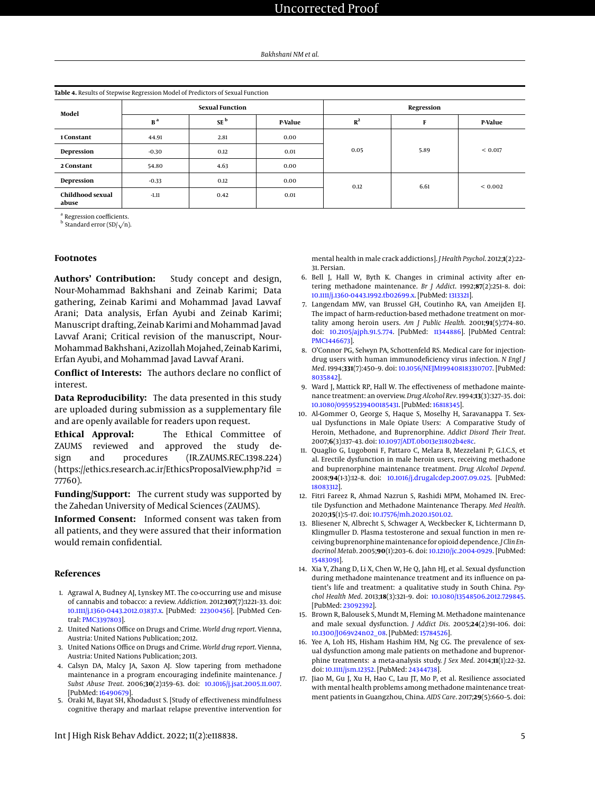<span id="page-4-17"></span>

|  | Table 4. Results of Stepwise Regression Model of Predictors of Sexual Function |
|--|--------------------------------------------------------------------------------|
|--|--------------------------------------------------------------------------------|

| Model                     | <b>Sexual Function</b> |                 | Regression |       |      |             |
|---------------------------|------------------------|-----------------|------------|-------|------|-------------|
|                           | B <sup>a</sup>         | SE <sup>b</sup> | P-Value    | $R^2$ | F    | P-Value     |
| 1 Constant                | 44.91                  | 2.81            | 0.00       |       |      |             |
| Depression                | $-0.30$                | 0.12            | 0.01       | 0.05  | 5.89 | < 0.017     |
| 2 Constant                | 54.80                  | 4.63            | 0.00       |       |      |             |
| Depression                | $-0.33$                | 0.12            | 0.00       | 0.12  | 6.61 | ${}< 0.002$ |
| Childhood sexual<br>abuse | $-1.11$                | 0.42            | 0.01       |       |      |             |

<sup>a</sup> Regression coefficients.

Regression coemcients.<br><sup>b</sup> Standard error (SD/ $\sqrt$ n).

# **Footnotes**

**Authors' Contribution:** Study concept and design, Nour-Mohammad Bakhshani and Zeinab Karimi; Data gathering, Zeinab Karimi and Mohammad Javad Lavvaf Arani; Data analysis, Erfan Ayubi and Zeinab Karimi; Manuscript drafting, Zeinab Karimi and Mohammad Javad Lavvaf Arani; Critical revision of the manuscript, Nour-Mohammad Bakhshani, Azizollah Mojahed, Zeinab Karimi, Erfan Ayubi, and Mohammad Javad Lavvaf Arani.

**Conflict of Interests:** The authors declare no conflict of interest.

**Data Reproducibility:** The data presented in this study are uploaded during submission as a supplementary file and are openly available for readers upon request.

**Ethical Approval:** The Ethical Committee of ZAUMS reviewed and approved the study design and procedures (IR.ZAUMS.REC.1398.224) (https://ethics.research.ac.ir/EthicsProposalView.php?id = 77760).

**Funding/Support:** The current study was supported by the Zahedan University of Medical Sciences (ZAUMS).

**Informed Consent:** Informed consent was taken from all patients, and they were assured that their information would remain confidential.

### **References**

- <span id="page-4-0"></span>1. Agrawal A, Budney AJ, Lynskey MT. The co-occurring use and misuse of cannabis and tobacco: a review. *Addiction*. 2012;**107**(7):1221–33. doi: [10.1111/j.1360-0443.2012.03837.x.](http://dx.doi.org/10.1111/j.1360-0443.2012.03837.x) [PubMed: [22300456\]](http://www.ncbi.nlm.nih.gov/pubmed/22300456). [PubMed Central: [PMC3397803\]](https://www.ncbi.nlm.nih.gov/pmc/articles/PMC3397803).
- <span id="page-4-1"></span>2. United Nations Office on Drugs and Crime. *World drug report*. Vienna, Austria: United Nations Publication; 2012.
- <span id="page-4-2"></span>3. United Nations Office on Drugs and Crime. *World drug report*. Vienna, Austria: United Nations Publication; 2013.
- <span id="page-4-3"></span>4. Calsyn DA, Malcy JA, Saxon AJ. Slow tapering from methadone maintenance in a program encouraging indefinite maintenance. *J Subst Abuse Treat*. 2006;**30**(2):159–63. doi: [10.1016/j.jsat.2005.11.007.](http://dx.doi.org/10.1016/j.jsat.2005.11.007) [PubMed: [16490679\]](http://www.ncbi.nlm.nih.gov/pubmed/16490679).
- <span id="page-4-4"></span>5. Oraki M, Bayat SH, Khodadust S. [Study of effectiveness mindfulness cognitive therapy and marlaat relapse preventive intervention for

Int J High Risk Behav Addict. 2022; 11(2):e118838. 5

mental health in male crack addictions]. *J Health Psychol*. 2012;**1**(2):22– 31. Persian.

- <span id="page-4-5"></span>6. Bell J, Hall W, Byth K. Changes in criminal activity after entering methadone maintenance. *Br J Addict*. 1992;**87**(2):251–8. doi: [10.1111/j.1360-0443.1992.tb02699.x.](http://dx.doi.org/10.1111/j.1360-0443.1992.tb02699.x) [PubMed: [1313321\]](http://www.ncbi.nlm.nih.gov/pubmed/1313321).
- <span id="page-4-6"></span>7. Langendam MW, van Brussel GH, Coutinho RA, van Ameijden EJ. The impact of harm-reduction-based methadone treatment on mortality among heroin users. *Am J Public Health*. 2001;**91**(5):774–80. doi: [10.2105/ajph.91.5.774.](http://dx.doi.org/10.2105/ajph.91.5.774) [PubMed: [11344886\]](http://www.ncbi.nlm.nih.gov/pubmed/11344886). [PubMed Central: [PMC1446673\]](https://www.ncbi.nlm.nih.gov/pmc/articles/PMC1446673).
- <span id="page-4-7"></span>8. O'Connor PG, Selwyn PA, Schottenfeld RS. Medical care for injectiondrug users with human immunodeficiency virus infection. *N Engl J Med*. 1994;**331**(7):450–9. doi: [10.1056/NEJM199408183310707.](http://dx.doi.org/10.1056/NEJM199408183310707) [PubMed: [8035842\]](http://www.ncbi.nlm.nih.gov/pubmed/8035842).
- <span id="page-4-8"></span>9. Ward J, Mattick RP, Hall W. The effectiveness of methadone maintenance treatment: an overview. *Drug Alcohol Rev*. 1994;**13**(3):327–35. doi: [10.1080/09595239400185431.](http://dx.doi.org/10.1080/09595239400185431) [PubMed: [16818345\]](http://www.ncbi.nlm.nih.gov/pubmed/16818345).
- <span id="page-4-9"></span>10. Al-Gommer O, George S, Haque S, Moselhy H, Saravanappa T. Sexual Dysfunctions in Male Opiate Users: A Comparative Study of Heroin, Methadone, and Buprenorphine. *Addict Disord Their Treat*. 2007;**6**(3):137–43. doi: [10.1097/ADT.0b013e31802b4e8c.](http://dx.doi.org/10.1097/ADT.0b013e31802b4e8c)
- <span id="page-4-10"></span>11. Quaglio G, Lugoboni F, Pattaro C, Melara B, Mezzelani P; G.I.C.S, et al. Erectile dysfunction in male heroin users, receiving methadone and buprenorphine maintenance treatment. *Drug Alcohol Depend*. 2008;**94**(1-3):12–8. doi: [10.1016/j.drugalcdep.2007.09.025.](http://dx.doi.org/10.1016/j.drugalcdep.2007.09.025) [PubMed: [18083312\]](http://www.ncbi.nlm.nih.gov/pubmed/18083312).
- <span id="page-4-11"></span>12. Fitri Fareez R, Ahmad Nazrun S, Rashidi MPM, Mohamed IN. Erectile Dysfunction and Methadone Maintenance Therapy. *Med Health*. 2020;**15**(1):5–17. doi: [10.17576/mh.2020.1501.02.](http://dx.doi.org/10.17576/mh.2020.1501.02)
- <span id="page-4-12"></span>13. Bliesener N, Albrecht S, Schwager A, Weckbecker K, Lichtermann D, Klingmuller D. Plasma testosterone and sexual function in men receiving buprenorphine maintenance for opioid dependence.*J Clin Endocrinol Metab*. 2005;**90**(1):203–6. doi: [10.1210/jc.2004-0929.](http://dx.doi.org/10.1210/jc.2004-0929) [PubMed: [15483091\]](http://www.ncbi.nlm.nih.gov/pubmed/15483091).
- <span id="page-4-13"></span>14. Xia Y, Zhang D, Li X, Chen W, He Q, Jahn HJ, et al. Sexual dysfunction during methadone maintenance treatment and its influence on patient's life and treatment: a qualitative study in South China. *Psychol Health Med*. 2013;**18**(3):321–9. doi: [10.1080/13548506.2012.729845.](http://dx.doi.org/10.1080/13548506.2012.729845) [PubMed: [23092392\]](http://www.ncbi.nlm.nih.gov/pubmed/23092392).
- <span id="page-4-14"></span>15. Brown R, Balousek S, Mundt M, Fleming M. Methadone maintenance and male sexual dysfunction. *J Addict Dis*. 2005;**24**(2):91–106. doi: [10.1300/J069v24n02\\_08.](http://dx.doi.org/10.1300/J069v24n02_08) [PubMed: [15784526\]](http://www.ncbi.nlm.nih.gov/pubmed/15784526).
- <span id="page-4-15"></span>16. Yee A, Loh HS, Hisham Hashim HM, Ng CG. The prevalence of sexual dysfunction among male patients on methadone and buprenorphine treatments: a meta-analysis study. *J Sex Med*. 2014;**11**(1):22–32. doi: [10.1111/jsm.12352.](http://dx.doi.org/10.1111/jsm.12352) [PubMed: [24344738\]](http://www.ncbi.nlm.nih.gov/pubmed/24344738).
- <span id="page-4-16"></span>17. Jiao M, Gu J, Xu H, Hao C, Lau JT, Mo P, et al. Resilience associated with mental health problems among methadone maintenance treatment patients in Guangzhou, China. *AIDS Care*. 2017;**29**(5):660–5. doi: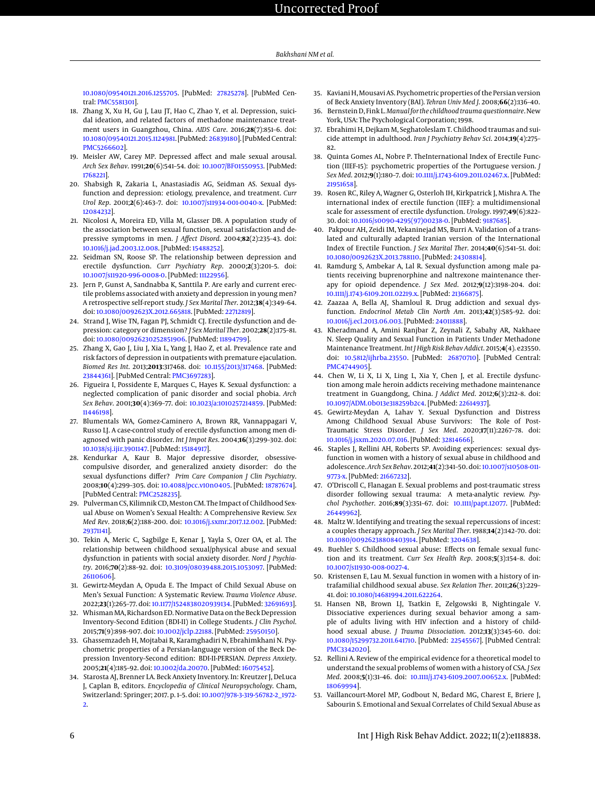[10.1080/09540121.2016.1255705.](http://dx.doi.org/10.1080/09540121.2016.1255705) [PubMed: [27825278\]](http://www.ncbi.nlm.nih.gov/pubmed/27825278). [PubMed Central: [PMC5581301\]](https://www.ncbi.nlm.nih.gov/pmc/articles/PMC5581301).

- <span id="page-5-0"></span>18. Zhang X, Xu H, Gu J, Lau JT, Hao C, Zhao Y, et al. Depression, suicidal ideation, and related factors of methadone maintenance treatment users in Guangzhou, China. *AIDS Care*. 2016;**28**(7):851–6. doi: [10.1080/09540121.2015.1124981.](http://dx.doi.org/10.1080/09540121.2015.1124981) [PubMed: [26839180\]](http://www.ncbi.nlm.nih.gov/pubmed/26839180). [PubMed Central: [PMC5266602\]](https://www.ncbi.nlm.nih.gov/pmc/articles/PMC5266602).
- <span id="page-5-1"></span>19. Meisler AW, Carey MP. Depressed affect and male sexual arousal. *Arch Sex Behav*. 1991;**20**(6):541–54. doi: [10.1007/BF01550953.](http://dx.doi.org/10.1007/BF01550953) [PubMed: [1768221\]](http://www.ncbi.nlm.nih.gov/pubmed/1768221).
- <span id="page-5-2"></span>20. Shabsigh R, Zakaria L, Anastasiadis AG, Seidman AS. Sexual dysfunction and depression: etiology, prevalence, and treatment. *Curr Urol Rep*. 2001;**2**(6):463–7. doi: [10.1007/s11934-001-0040-x.](http://dx.doi.org/10.1007/s11934-001-0040-x) [PubMed: [12084232\]](http://www.ncbi.nlm.nih.gov/pubmed/12084232).
- <span id="page-5-3"></span>21. Nicolosi A, Moreira ED, Villa M, Glasser DB. A population study of the association between sexual function, sexual satisfaction and depressive symptoms in men. *J Affect Disord*. 2004;**82**(2):235–43. doi: [10.1016/j.jad.2003.12.008.](http://dx.doi.org/10.1016/j.jad.2003.12.008) [PubMed: [15488252\]](http://www.ncbi.nlm.nih.gov/pubmed/15488252).
- <span id="page-5-4"></span>22. Seidman SN, Roose SP. The relationship between depression and erectile dysfunction. *Curr Psychiatry Rep*. 2000;**2**(3):201–5. doi: [10.1007/s11920-996-0008-0.](http://dx.doi.org/10.1007/s11920-996-0008-0) [PubMed: [11122956\]](http://www.ncbi.nlm.nih.gov/pubmed/11122956).
- <span id="page-5-5"></span>23. Jern P, Gunst A, Sandnabba K, Santtila P. Are early and current erectile problems associated with anxiety and depression in young men? A retrospective self-report study. *J Sex Marital Ther*. 2012;**38**(4):349–64. doi: [10.1080/0092623X.2012.665818.](http://dx.doi.org/10.1080/0092623X.2012.665818) [PubMed: [22712819\]](http://www.ncbi.nlm.nih.gov/pubmed/22712819).
- <span id="page-5-6"></span>24. Strand J, Wise TN, Fagan PJ, Schmidt CJ. Erectile dysfunction and depression: category or dimension? *J Sex Marital Ther*. 2002;**28**(2):175–81. doi: [10.1080/00926230252851906.](http://dx.doi.org/10.1080/00926230252851906) [PubMed: [11894799\]](http://www.ncbi.nlm.nih.gov/pubmed/11894799).
- <span id="page-5-7"></span>25. Zhang X, Gao J, Liu J, Xia L, Yang J, Hao Z, et al. Prevalence rate and risk factors of depression in outpatients with premature ejaculation. *Biomed Res Int*. 2013;**2013**:317468. doi: [10.1155/2013/317468.](http://dx.doi.org/10.1155/2013/317468) [PubMed: [23844361\]](http://www.ncbi.nlm.nih.gov/pubmed/23844361). [PubMed Central: [PMC3697283\]](https://www.ncbi.nlm.nih.gov/pmc/articles/PMC3697283).
- <span id="page-5-8"></span>26. Figueira I, Possidente E, Marques C, Hayes K. Sexual dysfunction: a neglected complication of panic disorder and social phobia. *Arch Sex Behav*. 2001;**30**(4):369–77. doi: [10.1023/a:1010257214859.](http://dx.doi.org/10.1023/a:1010257214859) [PubMed: [11446198\]](http://www.ncbi.nlm.nih.gov/pubmed/11446198).
- 27. Blumentals WA, Gomez-Caminero A, Brown RR, Vannappagari V, Russo LJ. A case-control study of erectile dysfunction among men diagnosed with panic disorder. *Int J Impot Res*. 2004;**16**(3):299–302. doi: [10.1038/sj.ijir.3901147.](http://dx.doi.org/10.1038/sj.ijir.3901147) [PubMed: [15184917\]](http://www.ncbi.nlm.nih.gov/pubmed/15184917).
- <span id="page-5-9"></span>28. Kendurkar A, Kaur B. Major depressive disorder, obsessivecompulsive disorder, and generalized anxiety disorder: do the sexual dysfunctions differ? *Prim Care Companion J Clin Psychiatry*. 2008;**10**(4):299–305. doi: [10.4088/pcc.v10n0405.](http://dx.doi.org/10.4088/pcc.v10n0405) [PubMed: [18787674\]](http://www.ncbi.nlm.nih.gov/pubmed/18787674). [PubMed Central: [PMC2528235\]](https://www.ncbi.nlm.nih.gov/pmc/articles/PMC2528235).
- <span id="page-5-10"></span>29. Pulverman CS, Kilimnik CD,Meston CM. The Impact of Childhood Sexual Abuse on Women's Sexual Health: A Comprehensive Review. *Sex Med Rev*. 2018;**6**(2):188–200. doi: [10.1016/j.sxmr.2017.12.002.](http://dx.doi.org/10.1016/j.sxmr.2017.12.002) [PubMed: [29371141\]](http://www.ncbi.nlm.nih.gov/pubmed/29371141).
- <span id="page-5-11"></span>30. Tekin A, Meric C, Sagbilge E, Kenar J, Yayla S, Ozer OA, et al. The relationship between childhood sexual/physical abuse and sexual dysfunction in patients with social anxiety disorder. *Nord J Psychiatry*. 2016;**70**(2):88–92. doi: [10.3109/08039488.2015.1053097.](http://dx.doi.org/10.3109/08039488.2015.1053097) [PubMed: [26110606\]](http://www.ncbi.nlm.nih.gov/pubmed/26110606).
- <span id="page-5-12"></span>31. Gewirtz-Meydan A, Opuda E. The Impact of Child Sexual Abuse on Men's Sexual Function: A Systematic Review. *Trauma Violence Abuse*. 2022;**23**(1):265–77. doi: [10.1177/1524838020939134.](http://dx.doi.org/10.1177/1524838020939134) [PubMed: [32691693\]](http://www.ncbi.nlm.nih.gov/pubmed/32691693).
- <span id="page-5-13"></span>32. Whisman MA, Richardson ED. Normative Data on the Beck Depression Inventory–Second Edition (BDI-II) in College Students. *J Clin Psychol*. 2015;**71**(9):898–907. doi: [10.1002/jclp.22188.](http://dx.doi.org/10.1002/jclp.22188) [PubMed: [25950150\]](http://www.ncbi.nlm.nih.gov/pubmed/25950150).
- <span id="page-5-14"></span>33. Ghassemzadeh H, Mojtabai R, Karamghadiri N, Ebrahimkhani N. Psychometric properties of a Persian-language version of the Beck Depression Inventory–Second edition: BDI-II-PERSIAN. *Depress Anxiety*. 2005;**21**(4):185–92. doi: [10.1002/da.20070.](http://dx.doi.org/10.1002/da.20070) [PubMed: [16075452\]](http://www.ncbi.nlm.nih.gov/pubmed/16075452).
- <span id="page-5-15"></span>34. Starosta AJ, Brenner LA. Beck Anxiety Inventory. In: Kreutzer J, DeLuca J, Caplan B, editors. *Encyclopedia of Clinical Neuropsychology*. Cham, Switzerland: Springer; 2017. p. 1–5. doi: [10.1007/978-3-319-56782-2\\_1972-](http://dx.doi.org/10.1007/978-3-319-56782-2_1972-2) [2.](http://dx.doi.org/10.1007/978-3-319-56782-2_1972-2)
- <span id="page-5-16"></span>35. Kaviani H, Mousavi AS. Psychometric properties of the Persian version of Beck Anxiety Inventory (BAI). *Tehran Univ Med J*. 2008;**66**(2):136–40.
- <span id="page-5-17"></span>36. BernsteinD, Fink L. *Manualfor the childhood trauma questionnaire*. New York, USA: The Psychological Corporation; 1998.
- <span id="page-5-18"></span>37. Ebrahimi H, Dejkam M, Seghatoleslam T. Childhood traumas and suicide attempt in adulthood. *Iran J Psychiatry Behav Sci*. 2014;**19**(4):275– 82.
- <span id="page-5-19"></span>38. Quinta Gomes AL, Nobre P. TheInternational Index of Erectile Function (IIEF-15): psychometric properties of the Portuguese version. *J Sex Med*. 2012;**9**(1):180–7. doi: [10.1111/j.1743-6109.2011.02467.x.](http://dx.doi.org/10.1111/j.1743-6109.2011.02467.x) [PubMed: [21951658\]](http://www.ncbi.nlm.nih.gov/pubmed/21951658).
- <span id="page-5-20"></span>39. Rosen RC, Riley A, Wagner G, Osterloh IH, Kirkpatrick J, Mishra A. The international index of erectile function (IIEF): a multidimensional scale for assessment of erectile dysfunction. *Urology*. 1997;**49**(6):822– 30. doi: [10.1016/s0090-4295\(97\)00238-0.](http://dx.doi.org/10.1016/s0090-4295(97)00238-0) [PubMed: [9187685\]](http://www.ncbi.nlm.nih.gov/pubmed/9187685).
- <span id="page-5-21"></span>40. Pakpour AH, Zeidi IM, Yekaninejad MS, Burri A. Validation of a translated and culturally adapted Iranian version of the International Index of Erectile Function. *J Sex Marital Ther*. 2014;**40**(6):541–51. doi: [10.1080/0092623X.2013.788110.](http://dx.doi.org/10.1080/0092623X.2013.788110) [PubMed: [24308814\]](http://www.ncbi.nlm.nih.gov/pubmed/24308814).
- <span id="page-5-22"></span>41. Ramdurg S, Ambekar A, Lal R. Sexual dysfunction among male patients receiving buprenorphine and naltrexone maintenance therapy for opioid dependence. *J Sex Med*. 2012;**9**(12):3198–204. doi: [10.1111/j.1743-6109.2011.02219.x.](http://dx.doi.org/10.1111/j.1743-6109.2011.02219.x) [PubMed: [21366875\]](http://www.ncbi.nlm.nih.gov/pubmed/21366875).
- <span id="page-5-23"></span>42. Zaazaa A, Bella AJ, Shamloul R. Drug addiction and sexual dysfunction. *Endocrinol Metab Clin North Am*. 2013;**42**(3):585–92. doi: [10.1016/j.ecl.2013.06.003.](http://dx.doi.org/10.1016/j.ecl.2013.06.003) [PubMed: [24011888\]](http://www.ncbi.nlm.nih.gov/pubmed/24011888).
- <span id="page-5-24"></span>43. Kheradmand A, Amini Ranjbar Z, Zeynali Z, Sabahy AR, Nakhaee N. Sleep Quality and Sexual Function in Patients Under Methadone Maintenance Treatment. *Int J High Risk Behav Addict*. 2015;**4**(4). e23550. doi: [10.5812/ijhrba.23550.](http://dx.doi.org/10.5812/ijhrba.23550) [PubMed: [26870710\]](http://www.ncbi.nlm.nih.gov/pubmed/26870710). [PubMed Central: [PMC4744905\]](https://www.ncbi.nlm.nih.gov/pmc/articles/PMC4744905).
- <span id="page-5-25"></span>44. Chen W, Li X, Li X, Ling L, Xia Y, Chen J, et al. Erectile dysfunction among male heroin addicts receiving methadone maintenance treatment in Guangdong, China. *J Addict Med*. 2012;**6**(3):212–8. doi: [10.1097/ADM.0b013e318259b2c4.](http://dx.doi.org/10.1097/ADM.0b013e318259b2c4) [PubMed: [22614937\]](http://www.ncbi.nlm.nih.gov/pubmed/22614937).
- <span id="page-5-26"></span>45. Gewirtz-Meydan A, Lahav Y. Sexual Dysfunction and Distress Among Childhood Sexual Abuse Survivors: The Role of Post-Traumatic Stress Disorder. *J Sex Med*. 2020;**17**(11):2267–78. doi: [10.1016/j.jsxm.2020.07.016.](http://dx.doi.org/10.1016/j.jsxm.2020.07.016) [PubMed: [32814666\]](http://www.ncbi.nlm.nih.gov/pubmed/32814666).
- <span id="page-5-27"></span>46. Staples J, Rellini AH, Roberts SP. Avoiding experiences: sexual dysfunction in women with a history of sexual abuse in childhood and adolescence. *Arch Sex Behav*. 2012;**41**(2):341–50. doi: [10.1007/s10508-011-](http://dx.doi.org/10.1007/s10508-011-9773-x) [9773-x.](http://dx.doi.org/10.1007/s10508-011-9773-x) [PubMed: [21667232\]](http://www.ncbi.nlm.nih.gov/pubmed/21667232).
- 47. O'Driscoll C, Flanagan E. Sexual problems and post-traumatic stress disorder following sexual trauma: A meta-analytic review. *Psychol Psychother*. 2016;**89**(3):351–67. doi: [10.1111/papt.12077.](http://dx.doi.org/10.1111/papt.12077) [PubMed: [26449962\]](http://www.ncbi.nlm.nih.gov/pubmed/26449962).
- <span id="page-5-28"></span>48. Maltz W. Identifying and treating the sexual repercussions of incest: a couples therapy approach. *J Sex Marital Ther*. 1988;**14**(2):142–70. doi: [10.1080/00926238808403914.](http://dx.doi.org/10.1080/00926238808403914) [PubMed: [3204638\]](http://www.ncbi.nlm.nih.gov/pubmed/3204638).
- <span id="page-5-29"></span>49. Buehler S. Childhood sexual abuse: Effects on female sexual function and its treatment. *Curr Sex Health Rep*. 2008;**5**(3):154–8. doi: [10.1007/s11930-008-0027-4.](http://dx.doi.org/10.1007/s11930-008-0027-4)
- <span id="page-5-30"></span>50. Kristensen E, Lau M. Sexual function in women with a history of intrafamilial childhood sexual abuse. *Sex Relation Ther*. 2011;**26**(3):229– 41. doi: [10.1080/14681994.2011.622264.](http://dx.doi.org/10.1080/14681994.2011.622264)
- <span id="page-5-31"></span>51. Hansen NB, Brown LJ, Tsatkin E, Zelgowski B, Nightingale V. Dissociative experiences during sexual behavior among a sample of adults living with HIV infection and a history of childhood sexual abuse. *J Trauma Dissociation*. 2012;**13**(3):345–60. doi: [10.1080/15299732.2011.641710.](http://dx.doi.org/10.1080/15299732.2011.641710) [PubMed: [22545567\]](http://www.ncbi.nlm.nih.gov/pubmed/22545567). [PubMed Central: [PMC3342020\]](https://www.ncbi.nlm.nih.gov/pmc/articles/PMC3342020).
- 52. Rellini A. Review of the empirical evidence for a theoretical model to understand the sexual problems of women with a history of CSA. *J Sex Med*. 2008;**5**(1):31–46. doi: [10.1111/j.1743-6109.2007.00652.x.](http://dx.doi.org/10.1111/j.1743-6109.2007.00652.x) [PubMed: [18069994\]](http://www.ncbi.nlm.nih.gov/pubmed/18069994).
- <span id="page-5-32"></span>53. Vaillancourt-Morel MP, Godbout N, Bedard MG, Charest E, Briere J, Sabourin S. Emotional and Sexual Correlates of Child Sexual Abuse as